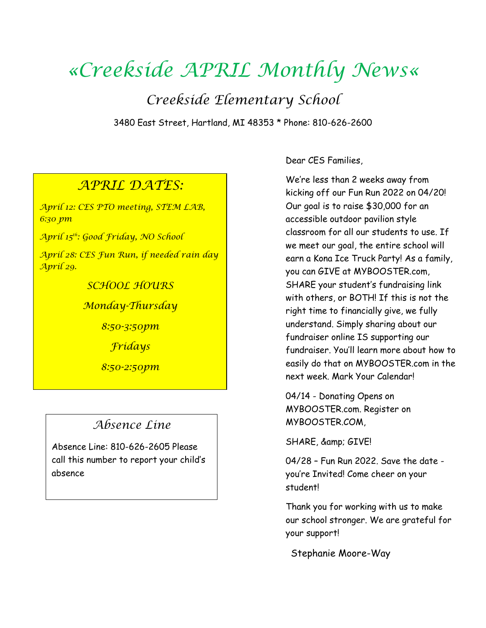# *«Creekside APRIL Monthly News«*

*Creekside Elementary School*

3480 East Street, Hartland, MI 48353 \* Phone: 810-626-2600

### *APRIL DATES:*

*April 12: CES PTO meeting, STEM LAB, 6:30 pm*

*April 15th: Good Friday, NO School* 

*April 28: CES Fun Run, if needed rain day April 29.* 

*SCHOOL HOURS*

*Monday-Thursday*

*8:50-3:50pm*

*Fridays*

*8:50-2:50pm*

## *Absence Line*

Absence Line: 810-626-2605 Please call this number to report your child's absence

Dear CES Families,

We're less than 2 weeks away from kicking off our Fun Run 2022 on 04/20! Our goal is to raise \$30,000 for an accessible outdoor pavilion style classroom for all our students to use. If we meet our goal, the entire school will earn a Kona Ice Truck Party! As a family, you can GIVE at MYBOOSTER.com, SHARE your student's fundraising link with others, or BOTH! If this is not the right time to financially give, we fully understand. Simply sharing about our fundraiser online IS supporting our fundraiser. You'll learn more about how to easily do that on MYBOOSTER.com in the next week. Mark Your Calendar!

04/14 - Donating Opens on MYBOOSTER.com. Register on MYBOOSTER.COM,

SHARE, & amp; GIVE!

04/28 – Fun Run 2022. Save the date you're Invited! Come cheer on your student!

Thank you for working with us to make our school stronger. We are grateful for your support!

Stephanie Moore-Way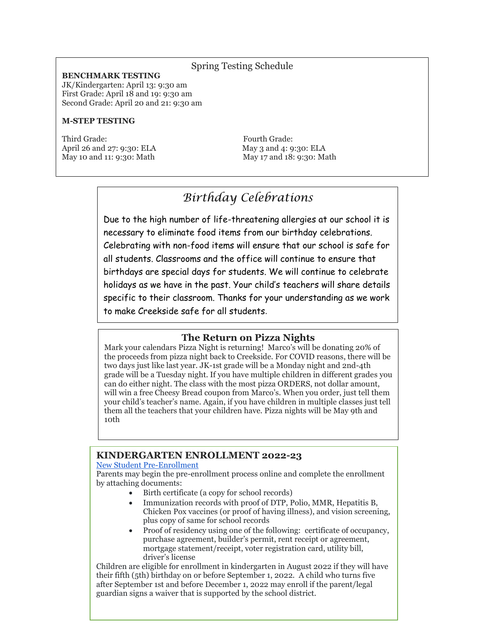#### Spring Testing Schedule

#### **BENCHMARK TESTING**

JK/Kindergarten: April 13: 9:30 am First Grade: April 18 and 19: 9:30 am Second Grade: April 20 and 21: 9:30 am

#### **M-STEP TESTING**

Third Grade: Third Grade: April 26 and 27: 9:30: ELA May 3 and 4: 9:30: ELA May 10 and 11: 9:30: Math May 17 and 18: 9:30: Math

## *Birthday Celebrations*

Due to the high number of life-threatening allergies at our school it is necessary to eliminate food items from our birthday celebrations. Celebrating with non-food items will ensure that our school is safe for all students. Classrooms and the office will continue to ensure that birthdays are special days for students. We will continue to celebrate holidays as we have in the past. Your child's teachers will share details specific to their classroom. Thanks for your understanding as we work to make Creekside safe for all students.

#### **The Return on Pizza Nights**

Mark your calendars Pizza Night is returning! Marco's will be donating 20% of the proceeds from pizza night back to Creekside. For COVID reasons, there will be two days just like last year. JK-1st grade will be a Monday night and 2nd-4th grade will be a Tuesday night. If you have multiple children in different grades you can do either night. The class with the most pizza ORDERS, not dollar amount, will win a free Cheesy Bread coupon from Marco's. When you order, just tell them your child's teacher's name. Again, if you have children in multiple classes just tell them all the teachers that your children have. Pizza nights will be May 9th and 10th

#### **KINDERGARTEN ENROLLMENT 2022-23**

#### [New Student Pre-Enrollment](https://sisweb.resa.net/PreEnrollment/default.aspx?id=47060)

Parents may begin the pre-enrollment process online and complete the enrollment by attaching documents:

- Birth certificate (a copy for school records)
- Immunization records with proof of DTP, Polio, MMR, Hepatitis B, Chicken Pox vaccines (or proof of having illness), and vision screening, plus copy of same for school records
- Proof of residency using one of the following: certificate of occupancy, purchase agreement, builder's permit, rent receipt or agreement, mortgage statement/receipt, voter registration card, utility bill, driver's license

Children are eligible for enrollment in kindergarten in August 2022 if they will have their fifth (5th) birthday on or before September 1, 2022. A child who turns five after September 1st and before December 1, 2022 may enroll if the parent/legal guardian signs a waiver that is supported by the school district.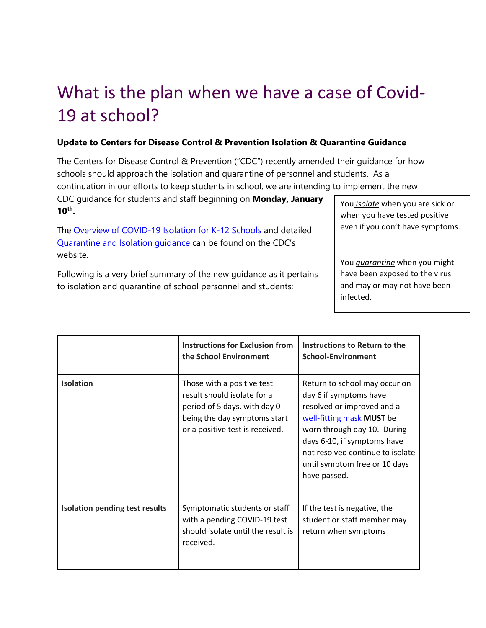## What is the plan when we have a case of Covid-19 at school?

#### **Update to Centers for Disease Control & Prevention Isolation & Quarantine Guidance**

The Centers for Disease Control & Prevention ("CDC") recently amended their guidance for how schools should approach the isolation and quarantine of personnel and students. As a

continuation in our efforts to keep students in school, we are intending to implement the new

CDC guidance for students and staff beginning on **Monday, January 10th .**

Th[e](https://www.cdc.gov/coronavirus/2019-ncov/community/schools-childcare/k-12-contact-tracing/about-isolation.html) [Overview of COVID-19 Isolation for K-12 Schools](https://www.cdc.gov/coronavirus/2019-ncov/community/schools-childcare/k-12-contact-tracing/about-isolation.html) and detaile[d](https://www.cdc.gov/coronavirus/2019-ncov/your-health/quarantine-isolation.html) [Quarantine and Isolation guidance](https://www.cdc.gov/coronavirus/2019-ncov/your-health/quarantine-isolation.html) can be found on the CDC's website.

Following is a very brief summary of the new guidance as it pertains to isolation and quarantine of school personnel and students:

You *isolate* when you are sick or when you have tested positive even if you don't have symptoms.

You *quarantine* when you might have been exposed to the virus and may or may not have been infected.

|                                       | <b>Instructions for Exclusion from</b><br>the School Environment                                                                                             | Instructions to Return to the<br><b>School-Environment</b>                                                                                                                                                                                                            |
|---------------------------------------|--------------------------------------------------------------------------------------------------------------------------------------------------------------|-----------------------------------------------------------------------------------------------------------------------------------------------------------------------------------------------------------------------------------------------------------------------|
| <b>Isolation</b>                      | Those with a positive test<br>result should isolate for a<br>period of 5 days, with day 0<br>being the day symptoms start<br>or a positive test is received. | Return to school may occur on<br>day 6 if symptoms have<br>resolved or improved and a<br>well-fitting mask MUST be<br>worn through day 10. During<br>days 6-10, if symptoms have<br>not resolved continue to isolate<br>until symptom free or 10 days<br>have passed. |
| <b>Isolation pending test results</b> | Symptomatic students or staff<br>with a pending COVID-19 test<br>should isolate until the result is<br>received.                                             | If the test is negative, the<br>student or staff member may<br>return when symptoms                                                                                                                                                                                   |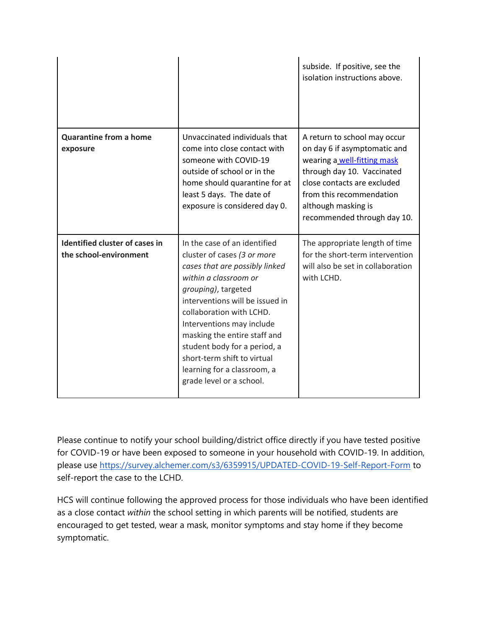|                                                                 |                                                                                                                                                                                                                                                                                                                                                                                                     | subside. If positive, see the<br>isolation instructions above.                                                                                                                                                                             |
|-----------------------------------------------------------------|-----------------------------------------------------------------------------------------------------------------------------------------------------------------------------------------------------------------------------------------------------------------------------------------------------------------------------------------------------------------------------------------------------|--------------------------------------------------------------------------------------------------------------------------------------------------------------------------------------------------------------------------------------------|
| <b>Quarantine from a home</b><br>exposure                       | Unvaccinated individuals that<br>come into close contact with<br>someone with COVID-19<br>outside of school or in the<br>home should quarantine for at<br>least 5 days. The date of<br>exposure is considered day 0.                                                                                                                                                                                | A return to school may occur<br>on day 6 if asymptomatic and<br>wearing a well-fitting mask<br>through day 10. Vaccinated<br>close contacts are excluded<br>from this recommendation<br>although masking is<br>recommended through day 10. |
| <b>Identified cluster of cases in</b><br>the school-environment | In the case of an identified<br>cluster of cases (3 or more<br>cases that are possibly linked<br>within a classroom or<br>grouping), targeted<br>interventions will be issued in<br>collaboration with LCHD.<br>Interventions may include<br>masking the entire staff and<br>student body for a period, a<br>short-term shift to virtual<br>learning for a classroom, a<br>grade level or a school. | The appropriate length of time<br>for the short-term intervention<br>will also be set in collaboration<br>with LCHD.                                                                                                                       |

Please continue to notify your school building/district office directly if you have tested positive for COVID-19 or have been exposed to someone in your household with COVID-19. In addition, please use<https://survey.alchemer.com/s3/6359915/UPDATED-COVID-19-Self-Report-Form> to self-report the case to the LCHD.

HCS will continue following the approved process for those individuals who have been identified as a close contact *within* the school setting in which parents will be notified, students are encouraged to get tested, wear a mask, monitor symptoms and stay home if they become symptomatic.